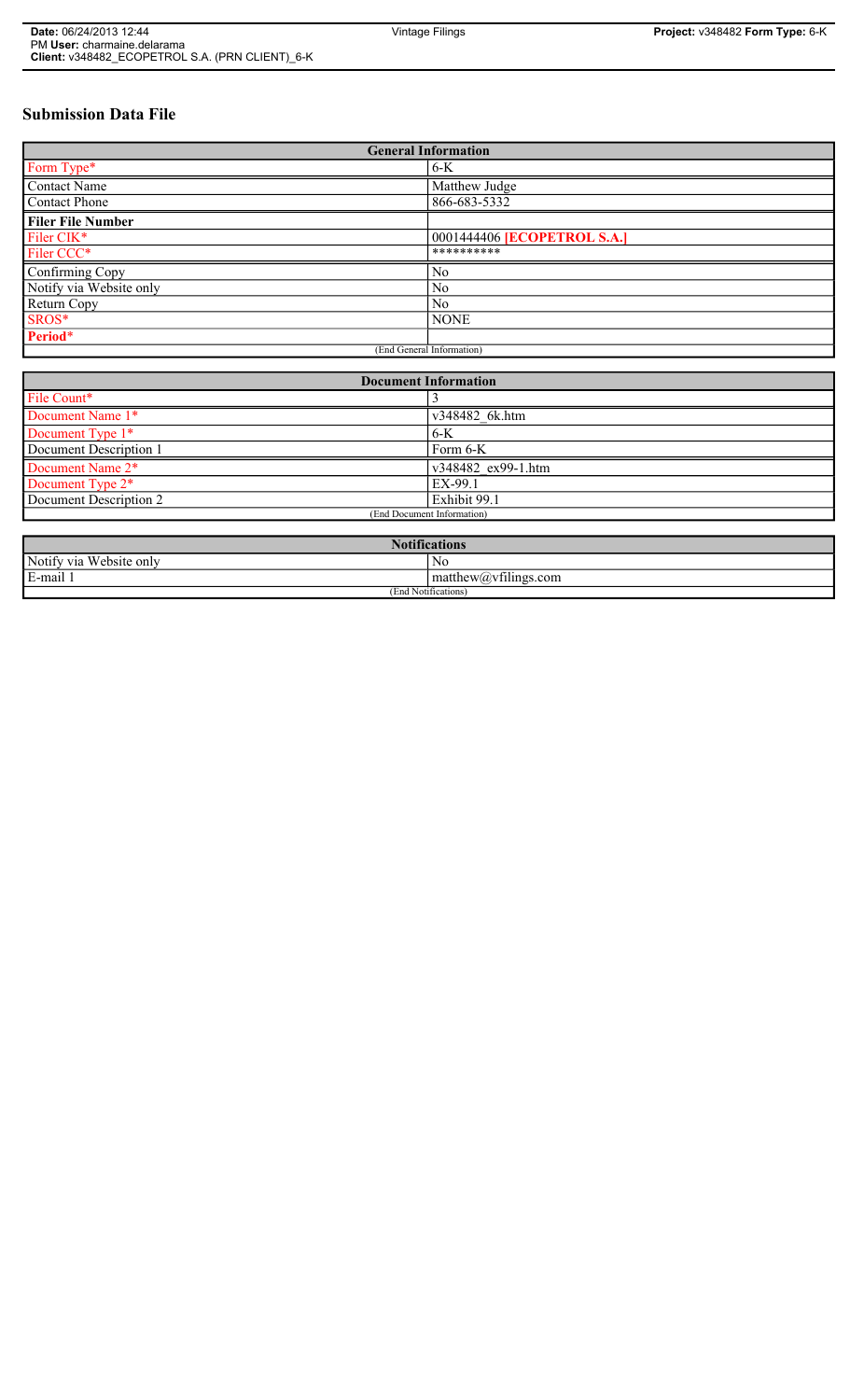# **Submission Data File**

| <b>General Information</b> |                             |
|----------------------------|-----------------------------|
| Form Type*                 | $6-K$                       |
| Contact Name               | Matthew Judge               |
| Contact Phone              | 866-683-5332                |
| <b>Filer File Number</b>   |                             |
| Filer CIK*                 | 0001444406 [ECOPETROL S.A.] |
| Filer CCC*                 | **********                  |
| Confirming Copy            | N <sub>0</sub>              |
| Notify via Website only    | N <sub>0</sub>              |
| Return Copy                | N <sub>0</sub>              |
| SROS*                      | <b>NONE</b>                 |
| Period*                    |                             |
| (End General Information)  |                             |

| <b>Document Information</b>  |                            |
|------------------------------|----------------------------|
| File Count*                  |                            |
| Document Name 1*             | v348482 6k.htm             |
| Document Type 1*             | 6-K                        |
| Document Description 1       | Form 6-K                   |
| Document Name 2*             | $\sqrt{348482}$ ex99-1.htm |
| Document Type 2 <sup>*</sup> | EX-99.1                    |
| Document Description 2       | Exhibit 99.1               |
| (End Document Information)   |                            |
|                              |                            |
| <b>Notifications</b>         |                            |

| INOUHICAUIOHS                                                        |                                                                    |
|----------------------------------------------------------------------|--------------------------------------------------------------------|
| Notify<br>$\cdot$ $\sim$<br>$T$ $T$<br>≀ via<br>ebsite only<br>1 A J | N0                                                                 |
| E-mail                                                               | $\sim$ 1.1<br>$\text{matrix}(a)$ . with matthew $\text{matrix}(a)$ |
| (End Notifications)                                                  |                                                                    |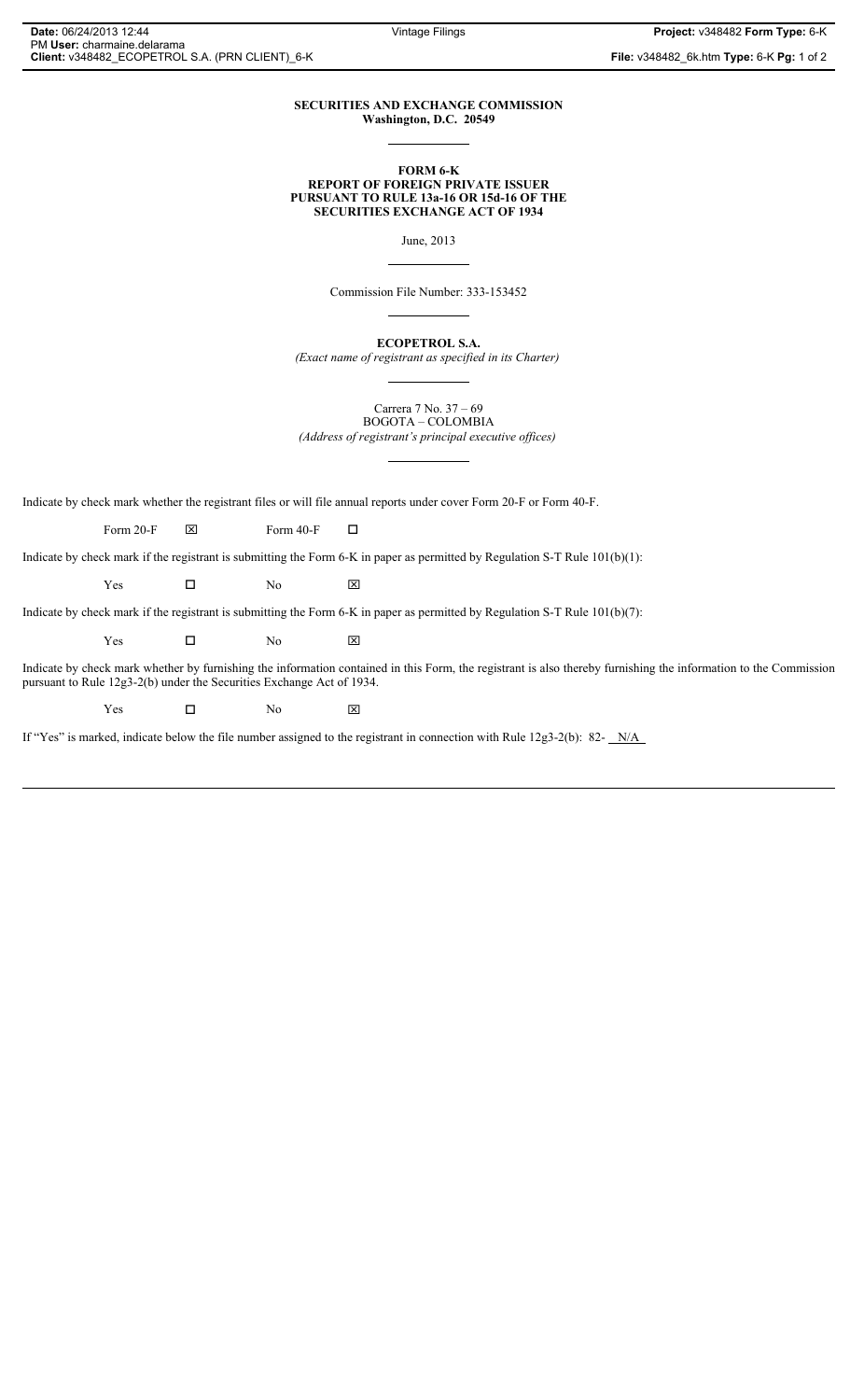#### **SECURITIES AND EXCHANGE COMMISSION Washington, D.C. 20549**

#### **FORM 6-K REPORT OF FOREIGN PRIVATE ISSUER PURSUANT TO RULE 13a-16 OR 15d-16 OF THE SECURITIES EXCHANGE ACT OF 1934**

June, 2013

Commission File Number: 333-153452

**ECOPETROL S.A.**

*(Exact name of registrant as specified in its Charter)*

Carrera 7 No. 37 – 69 BOGOTA – COLOMBIA

*(Address of registrant's principal executive offices)*

Indicate by check mark whether the registrant files or will file annual reports under cover Form 20-F or Form 40-F.

Form 20-F  $\boxtimes$  Form 40-F  $\Box$ 

Indicate by check mark if the registrant is submitting the Form 6-K in paper as permitted by Regulation S-T Rule 101(b)(1):

 $Yes$   $\Box$  No  $X$ 

Indicate by check mark if the registrant is submitting the Form 6-K in paper as permitted by Regulation S-T Rule 101(b)(7):

 $Yes$   $\Box$  No  $X$ 

Indicate by check mark whether by furnishing the information contained in this Form, the registrant is also thereby furnishing the information to the Commission pursuant to Rule 12g3-2(b) under the Securities Exchange Act of 1934.

 $Yes$   $\Box$  No  $\boxtimes$ 

If "Yes" is marked, indicate below the file number assigned to the registrant in connection with Rule 12g3-2(b): 82- $N/A$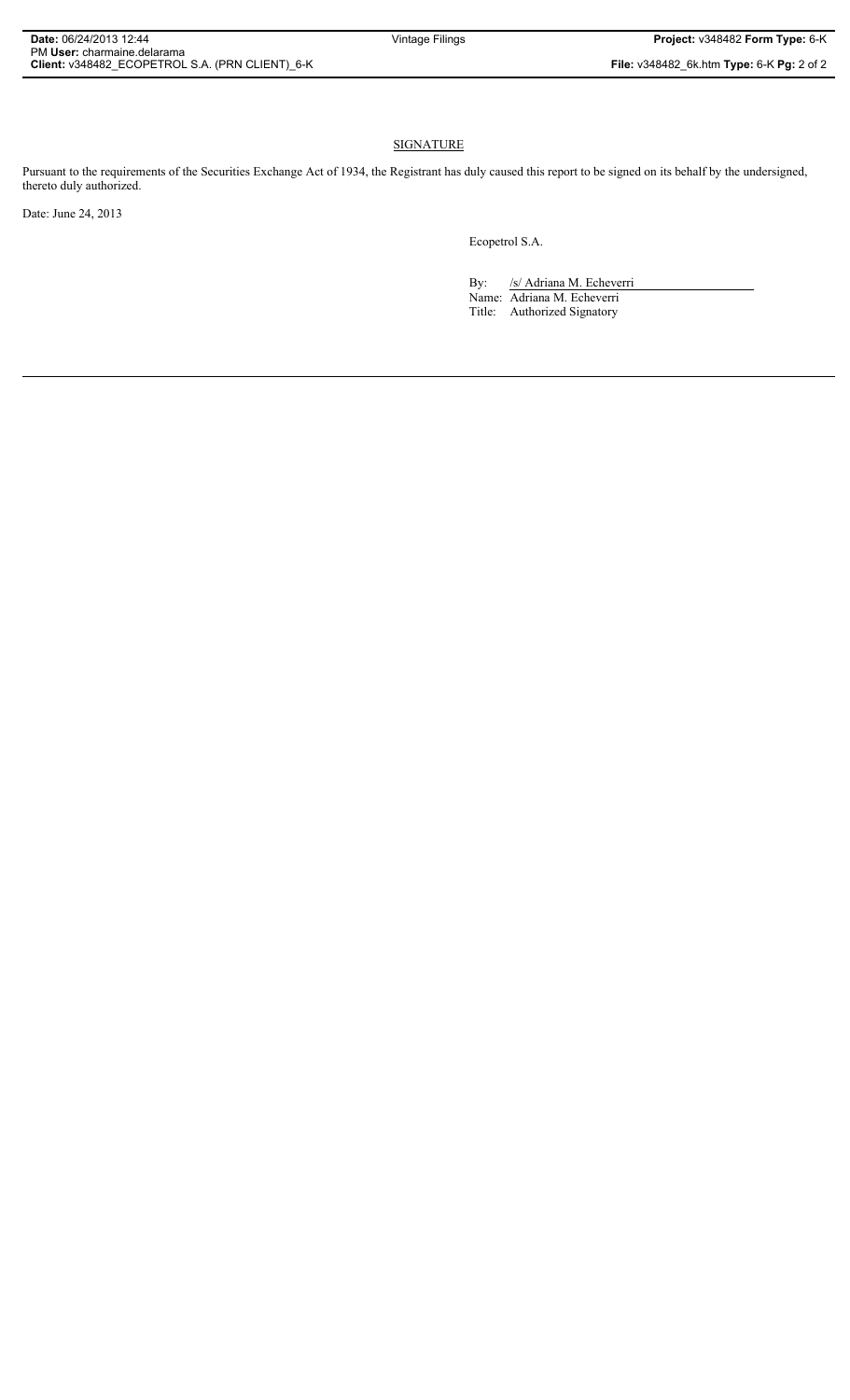## **SIGNATURE**

Pursuant to the requirements of the Securities Exchange Act of 1934, the Registrant has duly caused this report to be signed on its behalf by the undersigned, thereto duly authorized.

Date: June 24, 2013

Ecopetrol S.A.

By: /s/ Adriana M. Echeverri Name: Adriana M. Echeverri Title: Authorized Signatory